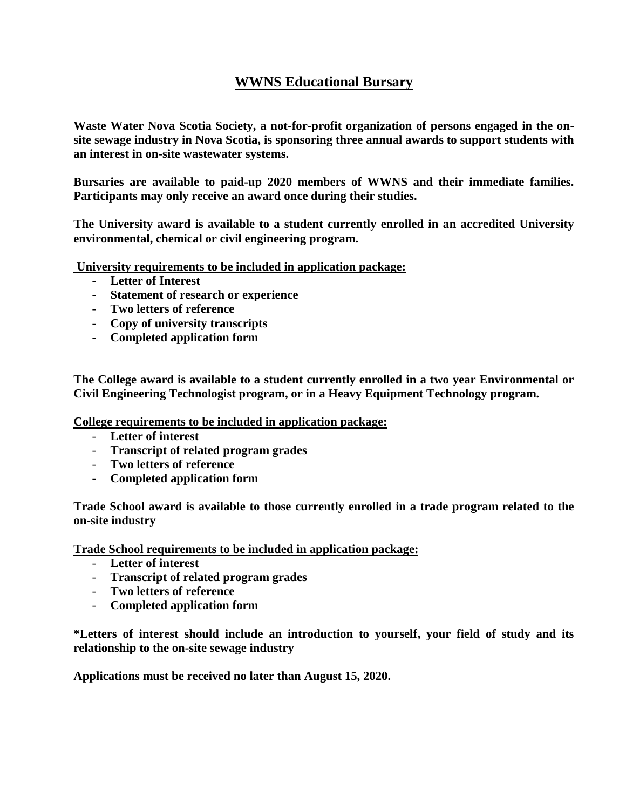## **WWNS Educational Bursary**

**Waste Water Nova Scotia Society, a not-for-profit organization of persons engaged in the onsite sewage industry in Nova Scotia, is sponsoring three annual awards to support students with an interest in on-site wastewater systems.**

**Bursaries are available to paid-up 2020 members of WWNS and their immediate families. Participants may only receive an award once during their studies.**

**The University award is available to a student currently enrolled in an accredited University environmental, chemical or civil engineering program.**

**University requirements to be included in application package:**

- **Letter of Interest**
- **Statement of research or experience**
- **Two letters of reference**
- **Copy of university transcripts**
- **Completed application form**

**The College award is available to a student currently enrolled in a two year Environmental or Civil Engineering Technologist program, or in a Heavy Equipment Technology program.**

**College requirements to be included in application package:**

- **Letter of interest**
- **Transcript of related program grades**
- **Two letters of reference**
- **Completed application form**

**Trade School award is available to those currently enrolled in a trade program related to the on-site industry**

**Trade School requirements to be included in application package:**

- **Letter of interest**
- **Transcript of related program grades**
- **Two letters of reference**
- **Completed application form**

**\*Letters of interest should include an introduction to yourself, your field of study and its relationship to the on-site sewage industry**

**Applications must be received no later than August 15, 2020.**